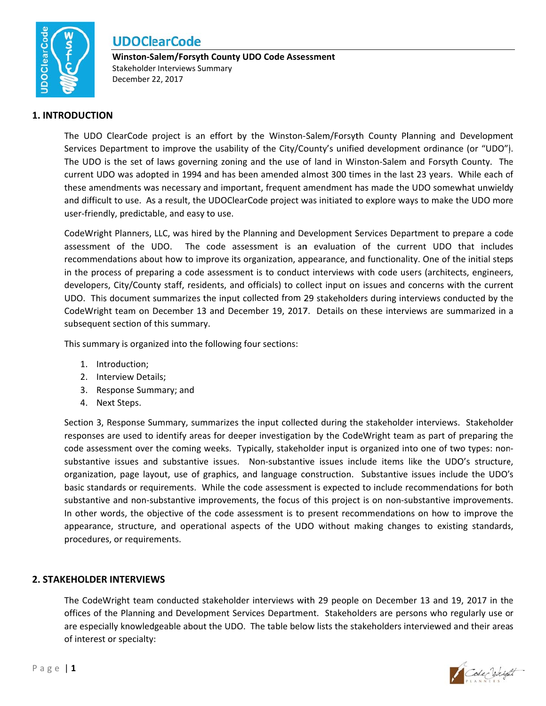

Winston-Salem/Forsyth County UDO Code Assessment Stakeholder Interviews Summary December 22, 2017

### **1. INTRODUCTION**

The UDO ClearCode project is an effort by the Winston-Salem/Forsyth County Planning and Development Services Department to improve the usability of the City/County's unified development ordinance (or "UDO"). The UDO is the set of laws governing zoning and the use of land in Winston-Salem and Forsyth County. The current UDO was adopted in 1994 and has been amended almost 300 times in the last 23 years. While each of these amendments was necessary and important, frequent amendment has made the UDO somewhat unwieldy and difficult to use. As a result, the UDOClearCode project was initiated to explore ways to make the UDO more user-friendly, predictable, and easy to use.

CodeWright Planners, LLC, was hired by the Planning and Development Services Department to prepare a code assessment of the UDO. The code assessment is an evaluation of the current UDO that includes recommendations about how to improve its organization, appearance, and functionality. One of the initial steps in the process of preparing a code assessment is to conduct interviews with code users (architects, engineers, developers, City/County staff, residents, and officials) to collect input on issues and concerns with the current UDO. This document summarizes the input collected from 29 stakeholders during interviews conducted by the CodeWright team on December 13 and December 19, 2017. Details on these interviews are summarized in a subsequent section of this summary.

This summary is organized into the following four sections:

- 1. Introduction;
- 2. Interview Details;
- 3. Response Summary; and
- 4. Next Steps.

Section 3, Response Summary, summarizes the input collected during the stakeholder interviews. Stakeholder responses are used to identify areas for deeper investigation by the CodeWright team as part of preparing the code assessment over the coming weeks. Typically, stakeholder input is organized into one of two types: nonsubstantive issues and substantive issues. Non-substantive issues include items like the UDO's structure, organization, page layout, use of graphics, and language construction. Substantive issues include the UDO's basic standards or requirements. While the code assessment is expected to include recommendations for both substantive and non-substantive improvements, the focus of this project is on non-substantive improvements. In other words, the objective of the code assessment is to present recommendations on how to improve the appearance, structure, and operational aspects of the UDO without making changes to existing standards, procedures, or requirements.

### **2. STAKEHOLDER INTERVIEWS**

The CodeWright team conducted stakeholder interviews with 29 people on December 13 and 19, 2017 in the offices of the Planning and Development Services Department. Stakeholders are persons who regularly use or are especially knowledgeable about the UDO. The table below lists the stakeholders interviewed and their areas of interest or specialty:

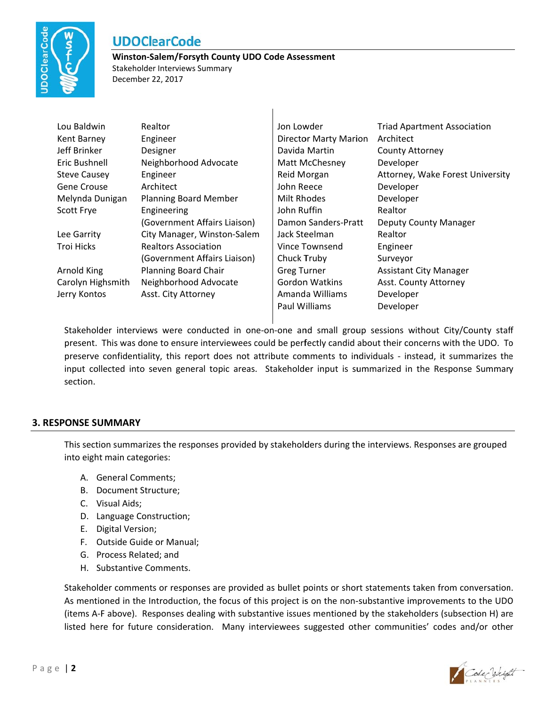

#### Winston-Salem/Forsyth County UDO Code Assessment Stakeholder Interviews Summary

December 22, 2017

| Lou Baldwin         | Realtor                      | Jon Lowder                   | <b>Triad Apartment Association</b> |
|---------------------|------------------------------|------------------------------|------------------------------------|
| Kent Barney         | Engineer                     | <b>Director Marty Marion</b> | Architect                          |
| Jeff Brinker        | Designer                     | Davida Martin                | <b>County Attorney</b>             |
| Eric Bushnell       | Neighborhood Advocate        | Matt McChesney               | Developer                          |
| <b>Steve Causey</b> | Engineer                     | Reid Morgan                  | Attorney, Wake Forest University   |
| <b>Gene Crouse</b>  | Architect                    | John Reece                   | Developer                          |
| Melynda Dunigan     | <b>Planning Board Member</b> | Milt Rhodes                  | Developer                          |
| Scott Frye          | Engineering                  | John Ruffin                  | Realtor                            |
|                     | (Government Affairs Liaison) | Damon Sanders-Pratt          | <b>Deputy County Manager</b>       |
| Lee Garrity         | City Manager, Winston-Salem  | Jack Steelman                | Realtor                            |
| Troi Hicks          | Realtors Association         | Vince Townsend               | Engineer                           |
|                     | (Government Affairs Liaison) | Chuck Truby                  | Surveyor                           |
| Arnold King         | <b>Planning Board Chair</b>  | <b>Greg Turner</b>           | <b>Assistant City Manager</b>      |
| Carolyn Highsmith   | Neighborhood Advocate        | <b>Gordon Watkins</b>        | Asst. County Attorney              |
| Jerry Kontos        | Asst. City Attorney          | Amanda Williams              | Developer                          |
|                     |                              | Paul Williams                | Developer                          |

 $\overline{\phantom{a}}$ 

Stakeholder interviews were conducted in one-on-one and small group sessions without City/County staff present. This was done to ensure interviewees could be perfectly candid about their concerns with the UDO. To preserve confidentiality, this report does not attribute comments to individuals - instead, it summarizes the input collected into seven general topic areas. Stakeholder input is summarized in the Response Summary section.

### **3. RESPONSE SUMMARY**

This section summarizes the responses provided by stakeholders during the interviews. Responses are grouped into eight main categories:

- A. General Comments;
- B. Document Structure;
- C. Visual Aids;
- D. Language Construction;
- E. Digital Version;
- F. Outside Guide or Manual;
- G. Process Related; and
- H. Substantive Comments.

Stakeholder comments or responses are provided as bullet points or short statements taken from conversation. As mentioned in the Introduction, the focus of this project is on the non-substantive improvements to the UDO (items A-F above). Responses dealing with substantive issues mentioned by the stakeholders (subsection H) are listed here for future consideration. Many interviewees suggested other communities' codes and/or other

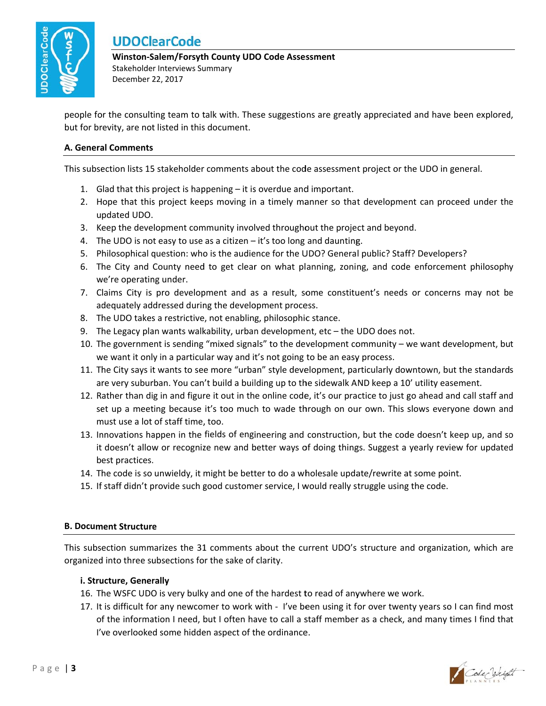

Winston-Salem/Forsyth County UDO Code Assessment Stakeholder Interviews Summary December 22, 2017

people for the consulting team to talk with. These suggestions are greatly appreciated and have been explored, but for brevity, are not listed in this document.

### A. General Comments

This subsection lists 15 stakeholder comments about the code assessment project or the UDO in general.

- 1. Glad that this project is happening it is overdue and important.
- 2. Hope that this project keeps moving in a timely manner so that development can proceed under the updated UDO.
- 3. Keep the development community involved throughout the project and beyond.
- 4. The UDO is not easy to use as a citizen  $-$  it's too long and daunting.
- 5. Philosophical question: who is the audience for the UDO? General public? Staff? Developers?
- 6. The City and County need to get clear on what planning, zoning, and code enforcement philosophy we're operating under.
- 7. Claims City is pro development and as a result, some constituent's needs or concerns may not be adequately addressed during the development process.
- 8. The UDO takes a restrictive, not enabling, philosophic stance.
- 9. The Legacy plan wants walkability, urban development, etc the UDO does not.
- 10. The government is sending "mixed signals" to the development community we want development, but we want it only in a particular way and it's not going to be an easy process.
- 11. The City says it wants to see more "urban" style development, particularly downtown, but the standards are very suburban. You can't build a building up to the sidewalk AND keep a 10' utility easement.
- 12. Rather than dig in and figure it out in the online code, it's our practice to just go ahead and call staff and set up a meeting because it's too much to wade through on our own. This slows everyone down and must use a lot of staff time, too.
- 13. Innovations happen in the fields of engineering and construction, but the code doesn't keep up, and so it doesn't allow or recognize new and better ways of doing things. Suggest a yearly review for updated best practices.
- 14. The code is so unwieldy, it might be better to do a wholesale update/rewrite at some point.
- 15. If staff didn't provide such good customer service, I would really struggle using the code.

#### **B. Document Structure**

This subsection summarizes the 31 comments about the current UDO's structure and organization, which are organized into three subsections for the sake of clarity.

#### i. Structure, Generally

- 16. The WSFC UDO is very bulky and one of the hardest to read of anywhere we work.
- 17. It is difficult for any newcomer to work with I've been using it for over twenty years so I can find most of the information I need, but I often have to call a staff member as a check, and many times I find that I've overlooked some hidden aspect of the ordinance.

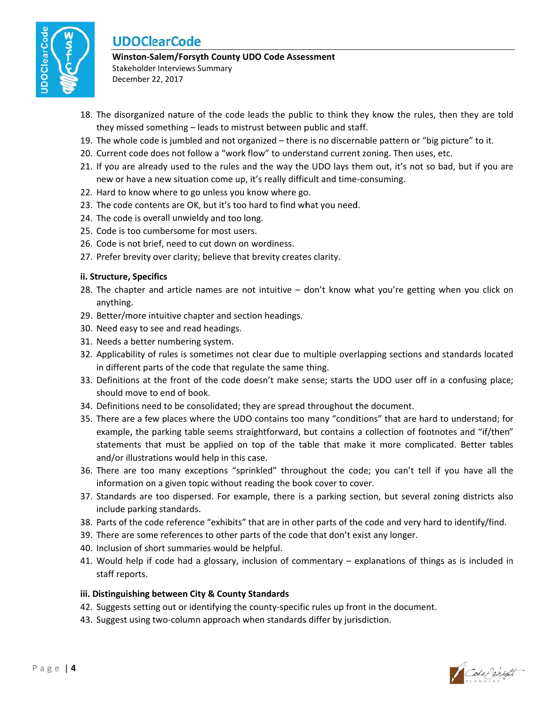

## Winston-Salem/Forsyth County UDO Code Assessment

Stakeholder Interviews Summary December 22, 2017

- 18. The disorganized nature of the code leads the public to think they know the rules, then they are told they missed something - leads to mistrust between public and staff.
- 19. The whole code is jumbled and not organized there is no discernable pattern or "big picture" to it.
- 20. Current code does not follow a "work flow" to understand current zoning. Then uses, etc.
- 21. If you are already used to the rules and the way the UDO lays them out, it's not so bad, but if you are new or have a new situation come up, it's really difficult and time-consuming.
- 22. Hard to know where to go unless you know where go.
- 23. The code contents are OK, but it's too hard to find what you need.
- 24. The code is overall unwieldy and too long.
- 25. Code is too cumbersome for most users.
- 26. Code is not brief, need to cut down on wordiness.
- 27. Prefer brevity over clarity; believe that brevity creates clarity.

### ii. Structure, Specifics

- 28. The chapter and article names are not intuitive don't know what you're getting when you click on anything.
- 29. Better/more intuitive chapter and section headings.
- 30. Need easy to see and read headings.
- 31. Needs a better numbering system.
- 32. Applicability of rules is sometimes not clear due to multiple overlapping sections and standards located in different parts of the code that regulate the same thing.
- 33. Definitions at the front of the code doesn't make sense; starts the UDO user off in a confusing place; should move to end of book.
- 34. Definitions need to be consolidated; they are spread throughout the document.
- 35. There are a few places where the UDO contains too many "conditions" that are hard to understand; for example, the parking table seems straightforward, but contains a collection of footnotes and "if/then" statements that must be applied on top of the table that make it more complicated. Better tables and/or illustrations would help in this case.
- 36. There are too many exceptions "sprinkled" throughout the code; you can't tell if you have all the information on a given topic without reading the book cover to cover.
- 37. Standards are too dispersed. For example, there is a parking section, but several zoning districts also include parking standards.
- 38. Parts of the code reference "exhibits" that are in other parts of the code and very hard to identify/find.
- 39. There are some references to other parts of the code that don't exist any longer.
- 40. Inclusion of short summaries would be helpful.
- 41. Would help if code had a glossary, inclusion of commentary explanations of things as is included in staff reports.

### iii. Distinguishing between City & County Standards

- 42. Suggests setting out or identifying the county-specific rules up front in the document.
- 43. Suggest using two-column approach when standards differ by jurisdiction.

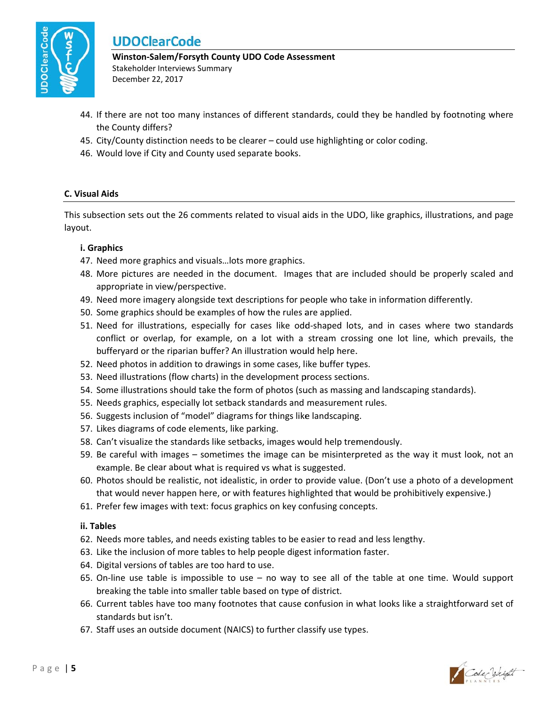

Winston-Salem/Forsyth County UDO Code Assessment Stakeholder Interviews Summary December 22, 2017

- 44. If there are not too many instances of different standards, could they be handled by footnoting where the County differs?
- 45. City/County distinction needs to be clearer could use highlighting or color coding.
- 46. Would love if City and County used separate books.

### C. Visual Aids

This subsection sets out the 26 comments related to visual aids in the UDO, like graphics, illustrations, and page layout.

### i. Graphics

- 47. Need more graphics and visuals... lots more graphics.
- 48. More pictures are needed in the document. Images that are included should be properly scaled and appropriate in view/perspective.
- 49. Need more imagery alongside text descriptions for people who take in information differently.
- 50. Some graphics should be examples of how the rules are applied.
- 51. Need for illustrations, especially for cases like odd-shaped lots, and in cases where two standards conflict or overlap, for example, on a lot with a stream crossing one lot line, which prevails, the bufferyard or the riparian buffer? An illustration would help here.
- 52. Need photos in addition to drawings in some cases, like buffer types.
- 53. Need illustrations (flow charts) in the development process sections.
- 54. Some illustrations should take the form of photos (such as massing and landscaping standards).
- 55. Needs graphics, especially lot setback standards and measurement rules.
- 56. Suggests inclusion of "model" diagrams for things like landscaping.
- 57. Likes diagrams of code elements, like parking.
- 58. Can't visualize the standards like setbacks, images would help tremendously.
- 59. Be careful with images sometimes the image can be misinterpreted as the way it must look, not an example. Be clear about what is required vs what is suggested.
- 60. Photos should be realistic, not idealistic, in order to provide value. (Don't use a photo of a development that would never happen here, or with features highlighted that would be prohibitively expensive.)
- 61. Prefer few images with text: focus graphics on key confusing concepts.

### ii. Tables

- 62. Needs more tables, and needs existing tables to be easier to read and less lengthy.
- 63. Like the inclusion of more tables to help people digest information faster.
- 64. Digital versions of tables are too hard to use.
- 65. On-line use table is impossible to use no way to see all of the table at one time. Would support breaking the table into smaller table based on type of district.
- 66. Current tables have too many footnotes that cause confusion in what looks like a straightforward set of standards but isn't.
- 67. Staff uses an outside document (NAICS) to further classify use types.

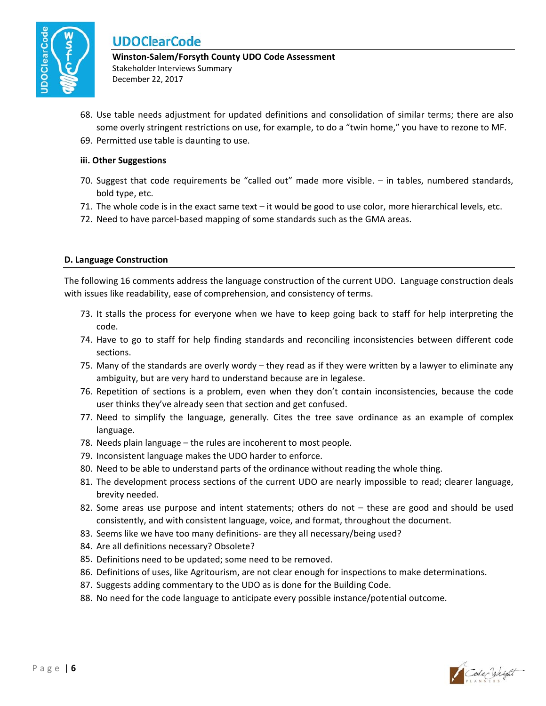

Winston-Salem/Forsyth County UDO Code Assessment Stakeholder Interviews Summary

December 22, 2017

- 68. Use table needs adjustment for updated definitions and consolidation of similar terms; there are also some overly stringent restrictions on use, for example, to do a "twin home," you have to rezone to MF.
- 69. Permitted use table is daunting to use.

### iii. Other Suggestions

- 70. Suggest that code requirements be "called out" made more visible. in tables, numbered standards, bold type, etc.
- 71. The whole code is in the exact same text it would be good to use color, more hierarchical levels, etc.
- 72. Need to have parcel-based mapping of some standards such as the GMA areas.

### D. Language Construction

The following 16 comments address the language construction of the current UDO. Language construction deals with issues like readability, ease of comprehension, and consistency of terms.

- 73. It stalls the process for everyone when we have to keep going back to staff for help interpreting the code.
- 74. Have to go to staff for help finding standards and reconciling inconsistencies between different code sections.
- 75. Many of the standards are overly wordy they read as if they were written by a lawyer to eliminate any ambiguity, but are very hard to understand because are in legalese.
- 76. Repetition of sections is a problem, even when they don't contain inconsistencies, because the code user thinks they've already seen that section and get confused.
- 77. Need to simplify the language, generally. Cites the tree save ordinance as an example of complex language.
- 78. Needs plain language the rules are incoherent to most people.
- 79. Inconsistent language makes the UDO harder to enforce.
- 80. Need to be able to understand parts of the ordinance without reading the whole thing.
- 81. The development process sections of the current UDO are nearly impossible to read; clearer language, brevity needed.
- 82. Some areas use purpose and intent statements; others do not these are good and should be used consistently, and with consistent language, voice, and format, throughout the document.
- 83. Seems like we have too many definitions- are they all necessary/being used?
- 84. Are all definitions necessary? Obsolete?
- 85. Definitions need to be updated; some need to be removed.
- 86. Definitions of uses, like Agritourism, are not clear enough for inspections to make determinations.
- 87. Suggests adding commentary to the UDO as is done for the Building Code.
- 88. No need for the code language to anticipate every possible instance/potential outcome.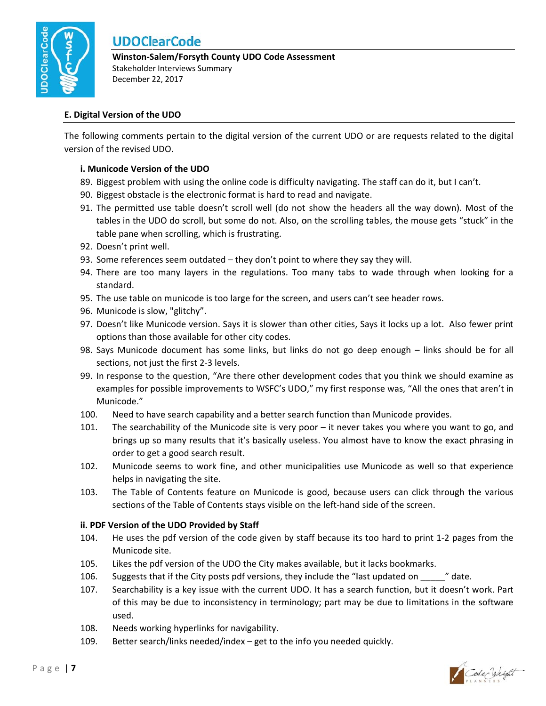

### Winston-Salem/Forsyth County UDO Code Assessment Stakeholder Interviews Summary

December 22, 2017

### E. Digital Version of the UDO

The following comments pertain to the digital version of the current UDO or are requests related to the digital version of the revised UDO.

### i. Municode Version of the UDO

- 89. Biggest problem with using the online code is difficulty navigating. The staff can do it, but I can't.
- 90. Biggest obstacle is the electronic format is hard to read and navigate.
- 91. The permitted use table doesn't scroll well (do not show the headers all the way down). Most of the tables in the UDO do scroll, but some do not. Also, on the scrolling tables, the mouse gets "stuck" in the table pane when scrolling, which is frustrating.
- 92. Doesn't print well.
- 93. Some references seem outdated they don't point to where they say they will.
- 94. There are too many layers in the regulations. Too many tabs to wade through when looking for a standard.
- 95. The use table on municode is too large for the screen, and users can't see header rows.
- 96. Municode is slow, "glitchy".
- 97. Doesn't like Municode version. Says it is slower than other cities, Says it locks up a lot. Also fewer print options than those available for other city codes.
- 98. Says Municode document has some links, but links do not go deep enough links should be for all sections, not just the first 2-3 levels.
- 99. In response to the question, "Are there other development codes that you think we should examine as examples for possible improvements to WSFC's UDO," my first response was, "All the ones that aren't in Municode."
- 100. Need to have search capability and a better search function than Municode provides.
- 101. The searchability of the Municode site is very poor  $-$  it never takes you where you want to go, and brings up so many results that it's basically useless. You almost have to know the exact phrasing in order to get a good search result.
- 102. Municode seems to work fine, and other municipalities use Municode as well so that experience helps in navigating the site.
- 103. The Table of Contents feature on Municode is good, because users can click through the various sections of the Table of Contents stays visible on the left-hand side of the screen.

### ii. PDF Version of the UDO Provided by Staff

- 104. He uses the pdf version of the code given by staff because its too hard to print 1-2 pages from the Municode site.
- 105. Likes the pdf version of the UDO the City makes available, but it lacks bookmarks.
- 106. Suggests that if the City posts pdf versions, they include the "last updated on \_\_\_\_\_ " date.
- Searchability is a key issue with the current UDO. It has a search function, but it doesn't work. Part 107. of this may be due to inconsistency in terminology; part may be due to limitations in the software used.
- 108. Needs working hyperlinks for navigability.
- 109. Better search/links needed/index - get to the info you needed quickly.

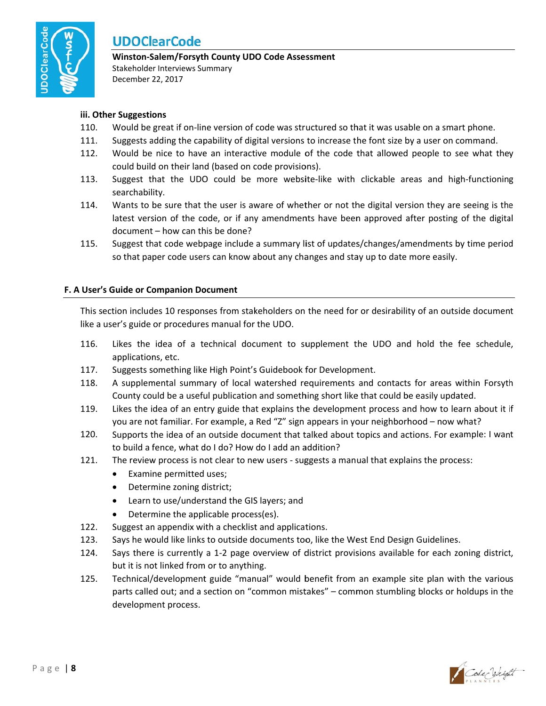

## Winston-Salem/Forsyth County UDO Code Assessment

Stakeholder Interviews Summary December 22, 2017

### iii. Other Suggestions

- 110. Would be great if on-line version of code was structured so that it was usable on a smart phone.
- 111. Suggests adding the capability of digital versions to increase the font size by a user on command.
- 112. Would be nice to have an interactive module of the code that allowed people to see what they could build on their land (based on code provisions).
- 113. Suggest that the UDO could be more website-like with clickable areas and high-functioning searchability.
- 114. Wants to be sure that the user is aware of whether or not the digital version they are seeing is the latest version of the code, or if any amendments have been approved after posting of the digital document - how can this be done?
- 115. Suggest that code webpage include a summary list of updates/changes/amendments by time period so that paper code users can know about any changes and stay up to date more easily.

### F. A User's Guide or Companion Document

This section includes 10 responses from stakeholders on the need for or desirability of an outside document like a user's guide or procedures manual for the UDO.

- 116. Likes the idea of a technical document to supplement the UDO and hold the fee schedule, applications, etc.
- 117. Suggests something like High Point's Guidebook for Development.
- 118. A supplemental summary of local watershed requirements and contacts for areas within Forsyth County could be a useful publication and something short like that could be easily updated.
- 119. Likes the idea of an entry guide that explains the development process and how to learn about it if you are not familiar. For example, a Red "Z" sign appears in your neighborhood - now what?
- Supports the idea of an outside document that talked about topics and actions. For example: I want 120. to build a fence, what do I do? How do I add an addition?
- 121. The review process is not clear to new users - suggests a manual that explains the process:
	- Examine permitted uses;
	- Determine zoning district;
	- Learn to use/understand the GIS layers; and
	- $\bullet$ Determine the applicable process(es).
- $122.$ Suggest an appendix with a checklist and applications.
- 123. Says he would like links to outside documents too, like the West End Design Guidelines.
- 124. Says there is currently a 1-2 page overview of district provisions available for each zoning district, but it is not linked from or to anything.
- 125. Technical/development guide "manual" would benefit from an example site plan with the various parts called out; and a section on "common mistakes" - common stumbling blocks or holdups in the development process.

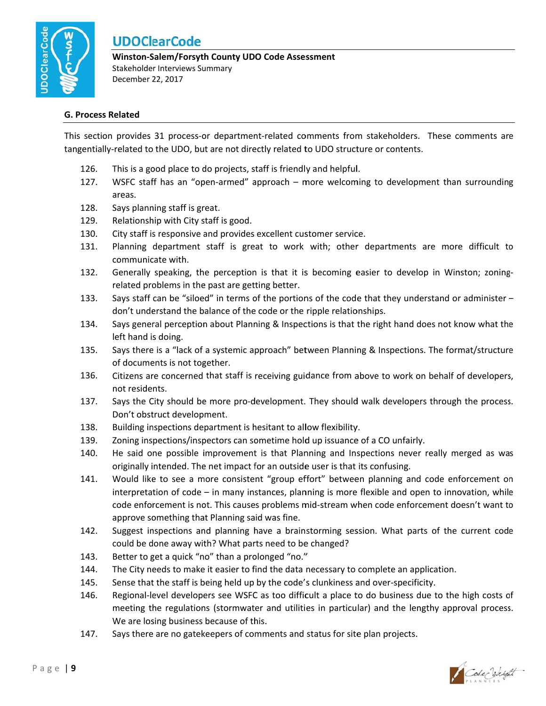

Winston-Salem/Forsyth County UDO Code Assessment Stakeholder Interviews Summary December 22, 2017

#### **G. Process Related**

This section provides 31 process-or department-related comments from stakeholders. These comments are tangentially-related to the UDO, but are not directly related to UDO structure or contents.

- 126. This is a good place to do projects, staff is friendly and helpful.
- 127. WSFC staff has an "open-armed" approach - more welcoming to development than surrounding areas.
- 128. Says planning staff is great.
- 129. Relationship with City staff is good.
- 130. City staff is responsive and provides excellent customer service.
- 131. Planning department staff is great to work with; other departments are more difficult to communicate with.
- Generally speaking, the perception is that it is becoming easier to develop in Winston; zoning-132. related problems in the past are getting better.
- 133. Says staff can be "siloed" in terms of the portions of the code that they understand or administer don't understand the balance of the code or the ripple relationships.
- 134. Says general perception about Planning & Inspections is that the right hand does not know what the left hand is doing.
- 135. Says there is a "lack of a systemic approach" between Planning & Inspections. The format/structure of documents is not together.
- 136. Citizens are concerned that staff is receiving guidance from above to work on behalf of developers, not residents.
- Says the City should be more pro-development. They should walk developers through the process. 137. Don't obstruct development.
- 138. Building inspections department is hesitant to allow flexibility.
- 139. Zoning inspections/inspectors can sometime hold up issuance of a CO unfairly.
- He said one possible improvement is that Planning and Inspections never really merged as was 140. originally intended. The net impact for an outside user is that its confusing.
- 141. Would like to see a more consistent "group effort" between planning and code enforcement on interpretation of code – in many instances, planning is more flexible and open to innovation, while code enforcement is not. This causes problems mid-stream when code enforcement doesn't want to approve something that Planning said was fine.
- 142. Suggest inspections and planning have a brainstorming session. What parts of the current code could be done away with? What parts need to be changed?
- 143. Better to get a quick "no" than a prolonged "no."
- 144. The City needs to make it easier to find the data necessary to complete an application.
- 145. Sense that the staff is being held up by the code's clunkiness and over-specificity.
- 146. Regional-level developers see WSFC as too difficult a place to do business due to the high costs of meeting the regulations (stormwater and utilities in particular) and the lengthy approval process. We are losing business because of this.
- 147. Says there are no gatekeepers of comments and status for site plan projects.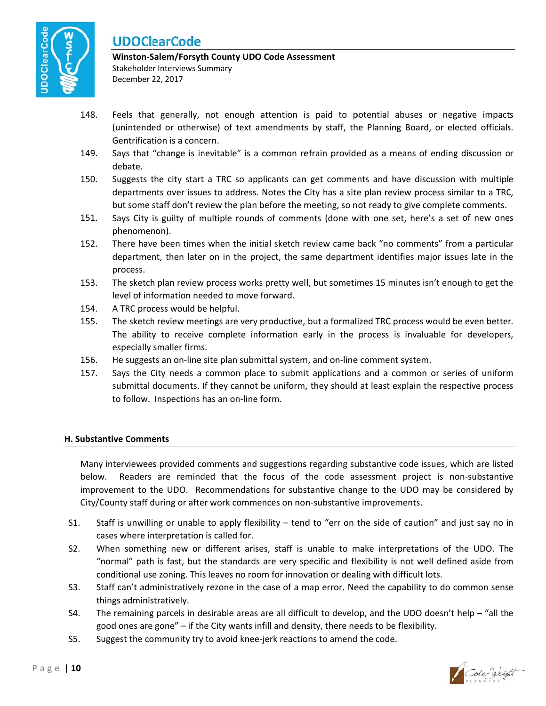

### **Winston‐S Salem/Forsyt h County UD O Code Asses ssment**  Stakeholder Interviews Summary December 2 22, 2017

- 148. Feels that generally, not enough attention is paid to potential abuses or negative impacts (unintended or otherwise) of text amendments by staff, the Planning Board, or elected officials. Gentrification is a concern.
- 149. Says that "change is inevitable" is a common refrain provided as a means of ending discussion or debate.
- 150. Suggests the city start a TRC so applicants can get comments and have discussion with multiple Suggests the city start a TRC so applicants can get comments and have discussion with multiple<br>departments over issues to address. Notes the City has a site plan review process similar to a TRC, but some staff don't review the plan before the meeting, so not ready to give complete comments.
- 151. Says City is guilty of multiple rounds of comments (done with one set, here's a set of new ones phenomen non).
- 152. There have been times when the initial sketch review came back "no comments" from a particular department, then later on in the project, the same department identifies major issues late in the process.
- 153. The sketch plan review process works pretty well, but sometimes 15 minutes isn't enough to get the level of information needed to move forward. ie<br>ie<br>r.
- 154. A TRC process would be helpful.
- 155. The sketch review meetings are very productive, but a formalized TRC process would be even better The ability to receive complete information early in the process is invaluable for developers, especially smaller firms s.
- 156. He suggests an on-line site plan submittal system, and on-line comment system.
- 157. Says the City needs a common place to submit applications and a common or series of uniform Says the City needs a common place to submit applications and a common or series of uniform<br>submittal documents. If they cannot be uniform, they should at least explain the respective process to follow. Inspections has an on-line form.

### **H. Substantive Comments**

Many interviewees provided comments and suggestions regarding substantive code issues, which are listed<br>below. Readers are reminded that the focus of the code assessment project is non-substantive below improvement to the UDO. Recommendations for substantive change to the UDO may be considered by City/County staff during or after work commences on non-substantive improvements. w. Readers are reminded that the focus of the code assessment project is non-substantive

- $S1.$ cases where interpretation is called for. taff is unwilling or unable to apply flexibility – tend to "err on the side of caution" and just say no in ne
- $S2.$ "normal" path is fast, but the standards are very specific and flexibility is not well defined aside from conditional use zoning. This leaves no room for innovation or dealing with difficult lots. When something new or different arises, staff is unable to make interpretations of the UDO. The
- $S3.$ things administratively. taff can't administratively rezone in the case of a map error. Need the capability to do common sense e<br>e
- S4. good ones are gone" – if the City wants infill and density, there needs to be flexibility. he remaining parcels in desirable areas are all difficult to develop, and the UDO doesn't help - "all the
- $S<sub>5</sub>$ . uggest the community try to avoid knee-jerk reactions to amend the code.

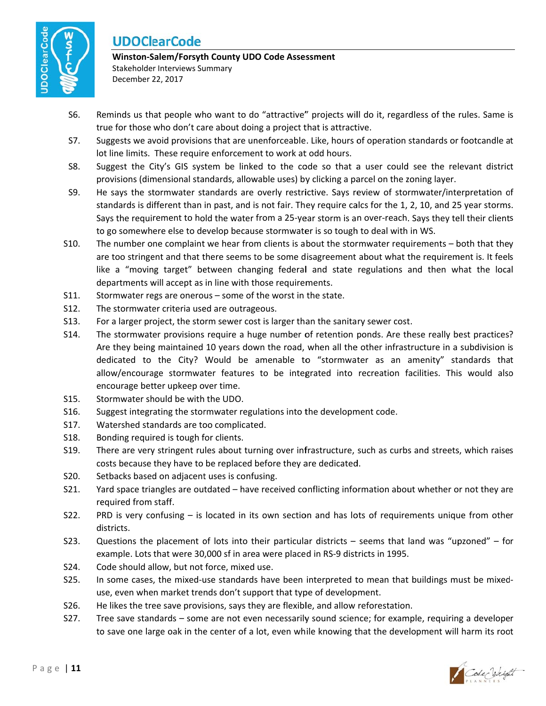

#### Winston-Salem/Forsyth County UDO Code Assessment Stakeholder Interviews Summary December 22, 2017

- Reminds us that people who want to do "attractive" projects will do it, regardless of the rules. Same is S6. true for those who don't care about doing a project that is attractive.
- S7. Suggests we avoid provisions that are unenforceable. Like, hours of operation standards or footcandle at lot line limits. These require enforcement to work at odd hours.
- S8. Suggest the City's GIS system be linked to the code so that a user could see the relevant district provisions (dimensional standards, allowable uses) by clicking a parcel on the zoning layer.
- S9. He says the stormwater standards are overly restrictive. Says review of stormwater/interpretation of standards is different than in past, and is not fair. They require calcs for the 1, 2, 10, and 25 year storms. Says the requirement to hold the water from a 25-year storm is an over-reach. Says they tell their clients to go somewhere else to develop because stormwater is so tough to deal with in WS.
- S10. The number one complaint we hear from clients is about the stormwater requirements – both that they are too stringent and that there seems to be some disagreement about what the requirement is. It feels like a "moving target" between changing federal and state regulations and then what the local departments will accept as in line with those requirements.
- S11. Stormwater regs are onerous - some of the worst in the state.
- $S12.$ The stormwater criteria used are outrageous.
- S13. For a larger project, the storm sewer cost is larger than the sanitary sewer cost.
- S14. The stormwater provisions require a huge number of retention ponds. Are these really best practices? Are they being maintained 10 years down the road, when all the other infrastructure in a subdivision is dedicated to the City? Would be amenable to "stormwater as an amenity" standards that allow/encourage stormwater features to be integrated into recreation facilities. This would also encourage better upkeep over time.
- $S15.$ Stormwater should be with the UDO.
- S16. Suggest integrating the stormwater regulations into the development code.
- S17. Watershed standards are too complicated.
- S18. Bonding required is tough for clients.
- S19. There are very stringent rules about turning over infrastructure, such as curbs and streets, which raises costs because they have to be replaced before they are dedicated.
- S20. Setbacks based on adjacent uses is confusing.
- S21. Yard space triangles are outdated - have received conflicting information about whether or not they are required from staff.
- S22. PRD is very confusing - is located in its own section and has lots of requirements unique from other districts.
- S23. Questions the placement of lots into their particular districts  $-$  seems that land was "upzoned"  $-$  for example. Lots that were 30,000 sf in area were placed in RS-9 districts in 1995.
- S24. Code should allow, but not force, mixed use.
- $S<sub>25</sub>$ In some cases, the mixed-use standards have been interpreted to mean that buildings must be mixeduse, even when market trends don't support that type of development.
- S26. He likes the tree save provisions, says they are flexible, and allow reforestation.
- S27. Tree save standards – some are not even necessarily sound science; for example, requiring a developer to save one large oak in the center of a lot, even while knowing that the development will harm its root